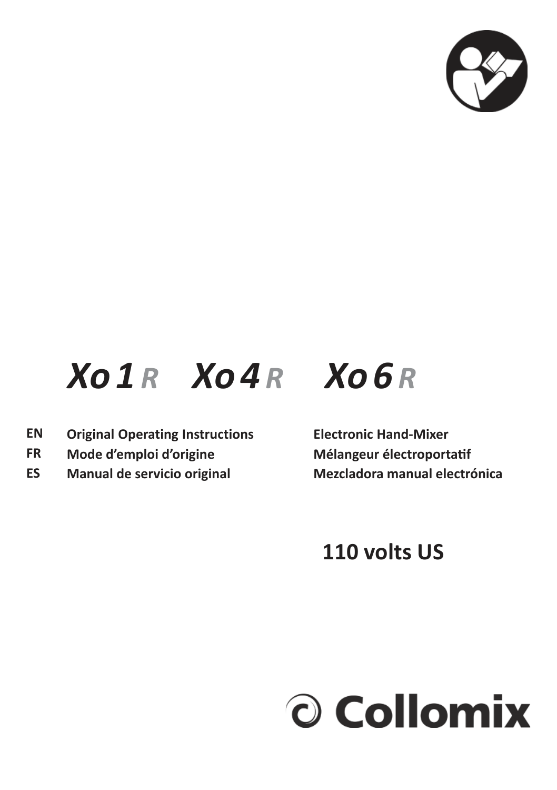

# *Xo 1 R Xo 4 R Xo 6 R*

- **Original Operating Instructions Electronic Hand-Mixer EN**
- **FR**
- **ES**

Mode d'emploi d'origine **Mélangeur électroportatif Manual de servicio original Mezcladora manual electrónica**

# **110 volts US**

# O Collomix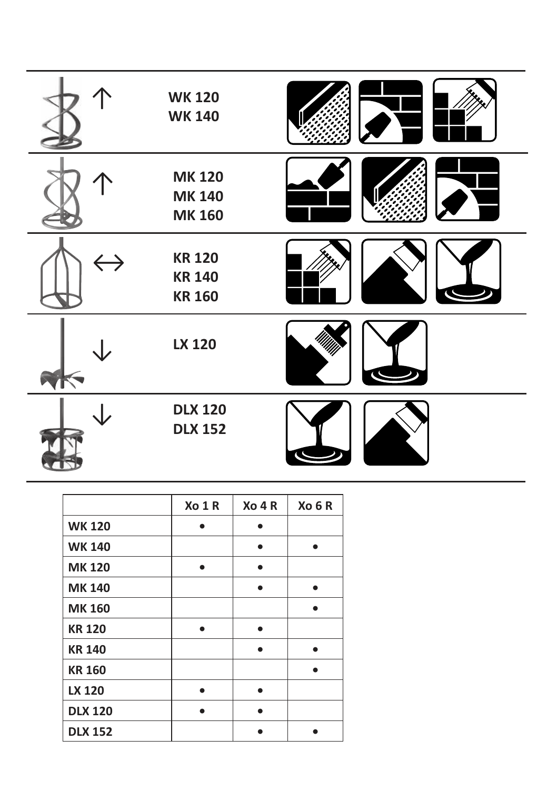|                   | <b>WK120</b><br><b>WK140</b>                    |  |
|-------------------|-------------------------------------------------|--|
|                   | <b>MK120</b><br><b>MK140</b><br><b>MK160</b>    |  |
| $\leftrightarrow$ | <b>KR 120</b><br><b>KR 140</b><br><b>KR 160</b> |  |
|                   | LX 120                                          |  |
|                   | <b>DLX 120</b><br><b>DLX 152</b>                |  |

|                | Xo 1 R | $X0$ 4 R | Xo 6 R |
|----------------|--------|----------|--------|
| <b>WK120</b>   |        |          |        |
| <b>WK 140</b>  |        |          |        |
| <b>MK120</b>   |        |          |        |
| <b>MK140</b>   |        |          |        |
| <b>MK160</b>   |        |          |        |
| <b>KR 120</b>  |        |          |        |
| <b>KR 140</b>  |        |          |        |
| <b>KR 160</b>  |        |          |        |
| <b>LX 120</b>  |        |          |        |
| <b>DLX 120</b> |        |          |        |
| <b>DLX 152</b> |        |          |        |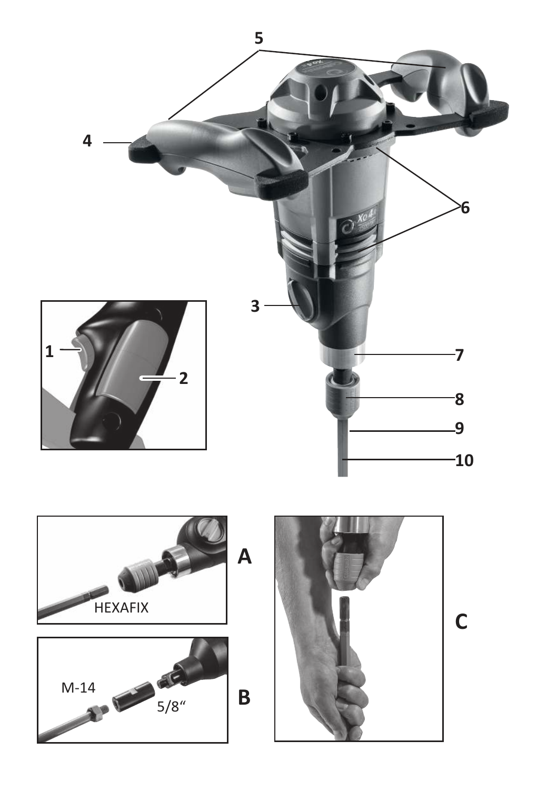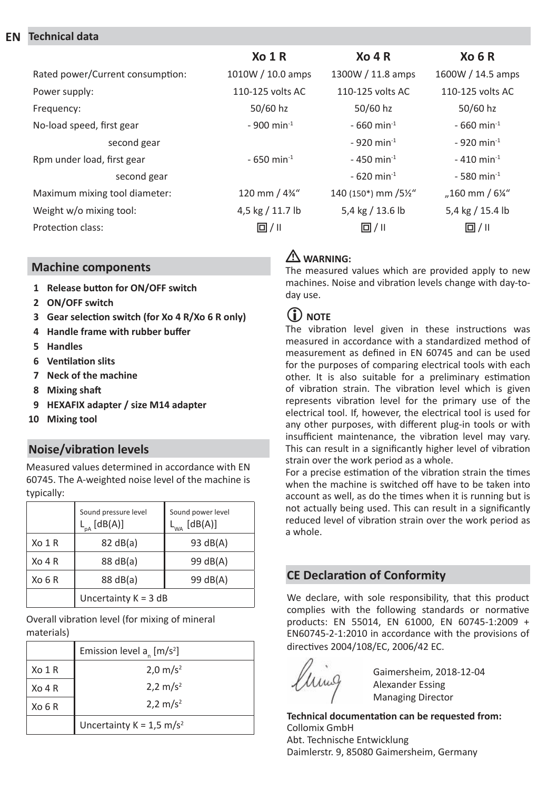#### **EN Technical data**

|                                  | X <sub>0</sub> 1 R       | $X_0$ 4 R                | X <sub>0</sub> 6 R         |
|----------------------------------|--------------------------|--------------------------|----------------------------|
| Rated power/Current consumption: | 1010W / 10.0 amps        | 1300W / 11.8 amps        | 1600W / 14.5 amps          |
| Power supply:                    | 110-125 volts AC         | 110-125 volts AC         | 110-125 volts AC           |
| Frequency:                       | 50/60 hz                 | 50/60 hz                 | 50/60 hz                   |
| No-load speed, first gear        | $-900$ min <sup>-1</sup> | $-660$ min <sup>-1</sup> | $-660$ min <sup>-1</sup>   |
| second gear                      |                          | $-920$ min <sup>-1</sup> | $-920$ min <sup>-1</sup>   |
| Rpm under load, first gear       | $-650$ min <sup>-1</sup> | $-450$ min <sup>-1</sup> | $-410$ min <sup>-1</sup>   |
| second gear                      |                          | $-620$ min <sup>-1</sup> | $-580$ min <sup>-1</sup>   |
| Maximum mixing tool diameter:    | 120 mm / 4%"             | 140 (150*) mm /5½"       | "160 mm / $6\frac{1}{4}$ " |
| Weight w/o mixing tool:          | 4,5 kg / 11.7 lb         | 5,4 kg / 13.6 lb         | 5,4 kg / 15.4 lb           |
| Protection class:                | 回/ 11                    | $\Box / \parallel$       | $\Box / \parallel$         |

### **Machine components**

- **1 Release button for ON/OFF switch**
- **2 ON/OFF switch**
- **3 Gear selection switch (for Xo 4 R/Xo 6 R only)**
- **4 Handle frame with rubber buffer**
- **5 Handles**
- **6 Ventilation slits**
- **7 Neck of the machine**
- **8 Mixing shaft**
- **9 HEXAFIX adapter / size M14 adapter**
- **10 Mixing tool**

## **Noise/vibration levels**

Measured values determined in accordance with EN 60745. The A-weighted noise level of the machine is typically:

|          | Sound pressure level<br>$L_{\rm pA}$ [dB(A)] | Sound power level<br>$L_{WA}$ [dB(A)] |
|----------|----------------------------------------------|---------------------------------------|
| Xo 1 R   | 82 dB(a)                                     | 93 dB(A)                              |
| $XO$ 4 R | 88 dB(a)                                     | 99 dB(A)                              |
| Xo 6 R   | 88 dB(a)                                     | 99 dB(A)                              |
|          | Uncertainty $K = 3 dB$                       |                                       |

Overall vibration level (for mixing of mineral materials)

|                    | Emission level $a_{n}$ [m/s <sup>2</sup> ] |  |
|--------------------|--------------------------------------------|--|
| X <sub>O</sub> 1 R | $2.0 \text{ m/s}^2$                        |  |
| $XO$ 4 R           | $2,2 \text{ m/s}^2$                        |  |
| X <sub>0</sub> 6 R | $2,2 \text{ m/s}^2$                        |  |
|                    | Uncertainty $K = 1.5$ m/s <sup>2</sup>     |  |

## L **WARNING:**

The measured values which are provided apply to new machines. Noise and vibration levels change with day-today use.

## **(i)** NOTE

The vibration level given in these instructions was measured in accordance with a standardized method of measurement as defined in EN 60745 and can be used for the purposes of comparing electrical tools with each other. It is also suitable for a preliminary estimation of vibration strain. The vibration level which is given represents vibration level for the primary use of the electrical tool. If, however, the electrical tool is used for any other purposes, with different plug-in tools or with insufficient maintenance, the vibration level may vary. This can result in a significantly higher level of vibration strain over the work period as a whole.

For a precise estimation of the vibration strain the times when the machine is switched off have to be taken into account as well, as do the times when it is running but is not actually being used. This can result in a significantly reduced level of vibration strain over the work period as a whole.

## **CE Declaration of Conformity**

We declare, with sole responsibility, that this product complies with the following standards or normative products: EN 55014, EN 61000, EN 60745-1:2009 + EN60745-2-1:2010 in accordance with the provisions of directives 2004/108/EC, 2006/42 EC.

Gaimersheim, 2018-12-04 Alexander Essing Managing Director

**Technical documentation can be requested from:** Collomix GmbH Abt. Technische Entwicklung Daimlerstr. 9, 85080 Gaimersheim, Germany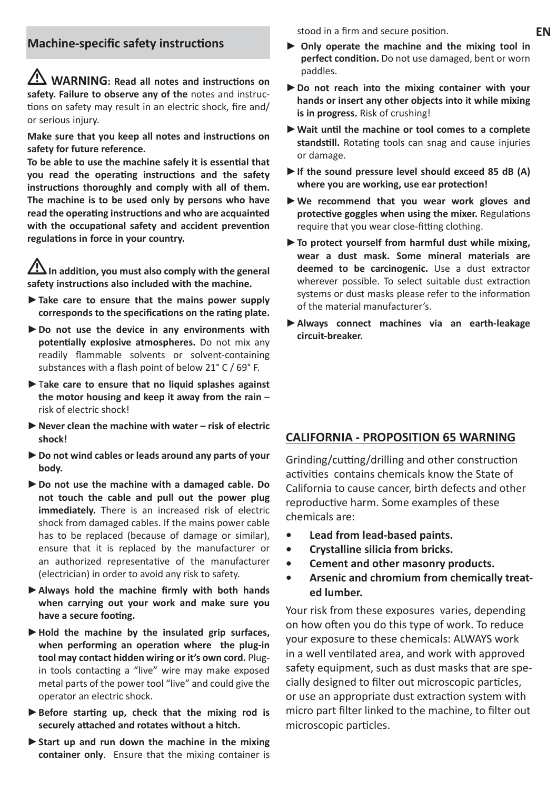L **WARNING: Read all notes and instructions on safety. Failure to observe any of the** notes and instructions on safety may result in an electric shock, fire and/ or serious injury.

**Make sure that you keep all notes and instructions on safety for future reference.**

**To be able to use the machine safely it is essential that you read the operating instructions and the safety instructions thoroughly and comply with all of them. The machine is to be used only by persons who have read the operating instructions and who are acquainted with the occupational safety and accident prevention regulations in force in your country.**

In addition, you must also comply with the general **safety instructions also included with the machine.**

- **►Take care to ensure that the mains power supply corresponds to the specifications on the rating plate.**
- **►Do not use the device in any environments with potentially explosive atmospheres.** Do not mix any readily flammable solvents or solvent-containing substances with a flash point of below 21° C / 69° F.
- **►**T**ake care to ensure that no liquid splashes against the motor housing and keep it away from the rain** – risk of electric shock!
- **►Never clean the machine with water risk of electric shock!**
- **►Do not wind cables or leads around any parts of your body.**
- **►Do not use the machine with a damaged cable. Do not touch the cable and pull out the power plug immediately.** There is an increased risk of electric shock from damaged cables. If the mains power cable has to be replaced (because of damage or similar), ensure that it is replaced by the manufacturer or an authorized representative of the manufacturer (electrician) in order to avoid any risk to safety.
- **►Always hold the machine firmly with both hands when carrying out your work and make sure you have a secure footing.**
- **►Hold the machine by the insulated grip surfaces, when performing an operation where the plug-in tool may contact hidden wiring or it's own cord.** Plugin tools contacting a "live" wire may make exposed metal parts of the power tool "live" and could give the operator an electric shock.
- **►Before starting up, check that the mixing rod is securely attached and rotates without a hitch.**
- **►Start up and run down the machine in the mixing container only**. Ensure that the mixing container is

stood in a firm and secure position.

- **► Only operate the machine and the mixing tool in perfect condition.** Do not use damaged, bent or worn paddles.
- **►Do not reach into the mixing container with your hands or insert any other objects into it while mixing is in progress.** Risk of crushing!
- **►Wait until the machine or tool comes to a complete standstill.** Rotating tools can snag and cause injuries or damage.
- **►If the sound pressure level should exceed 85 dB (A) where you are working, use ear protection!**
- **►We recommend that you wear work gloves and protective goggles when using the mixer.** Regulations require that you wear close-fitting clothing.
- **►To protect yourself from harmful dust while mixing, wear a dust mask. Some mineral materials are deemed to be carcinogenic.** Use a dust extractor wherever possible. To select suitable dust extraction systems or dust masks please refer to the information of the material manufacturer's.
- **►Always connect machines via an earth-leakage circuit-breaker.**

#### **CALIFORNIA - PROPOSITION 65 WARNING**

Grinding/cutting/drilling and other construction activities contains chemicals know the State of California to cause cancer, birth defects and other reproductive harm. Some examples of these chemicals are:

- **Lead from lead-based paints.**
- **Crystalline silicia from bricks.**
- **Cement and other masonry products.**
- **Arsenic and chromium from chemically treated lumber.**

Your risk from these exposures varies, depending on how often you do this type of work. To reduce your exposure to these chemicals: ALWAYS work in a well ventilated area, and work with approved safety equipment, such as dust masks that are specially designed to filter out microscopic particles, or use an appropriate dust extraction system with micro part filter linked to the machine, to filter out microscopic particles.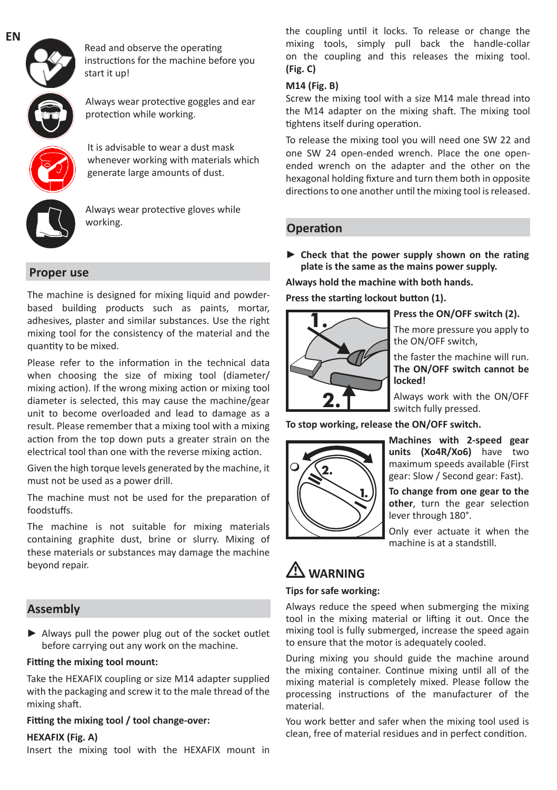

Read and observe the operating instructions for the machine before you start it up!

Always wear protective goggles and ear protection while working.

It is advisable to wear a dust mask whenever working with materials which generate large amounts of dust.



Always wear protective gloves while working.

#### **Proper use**

The machine is designed for mixing liquid and powderbased building products such as paints, mortar, adhesives, plaster and similar substances. Use the right mixing tool for the consistency of the material and the quantity to be mixed.

Please refer to the information in the technical data when choosing the size of mixing tool (diameter/ mixing action). If the wrong mixing action or mixing tool diameter is selected, this may cause the machine/gear unit to become overloaded and lead to damage as a result. Please remember that a mixing tool with a mixing action from the top down puts a greater strain on the electrical tool than one with the reverse mixing action.

Given the high torque levels generated by the machine, it must not be used as a power drill.

The machine must not be used for the preparation of foodstuffs.

The machine is not suitable for mixing materials containing graphite dust, brine or slurry. Mixing of these materials or substances may damage the machine beyond repair.

#### **Assembly**

**►** Always pull the power plug out of the socket outlet before carrying out any work on the machine.

#### **Fitting the mixing tool mount:**

Take the HEXAFIX coupling or size M14 adapter supplied with the packaging and screw it to the male thread of the mixing shaft.

#### **Fitting the mixing tool / tool change-over:**

#### **HEXAFIX (Fig. A)**

Insert the mixing tool with the HEXAFIX mount in

the coupling until it locks. To release or change the mixing tools, simply pull back the handle-collar on the coupling and this releases the mixing tool. **(Fig. C)**

#### **M14 (Fig. B)**

Screw the mixing tool with a size M14 male thread into the M14 adapter on the mixing shaft. The mixing tool tightens itself during operation.

To release the mixing tool you will need one SW 22 and one SW 24 open-ended wrench. Place the one openended wrench on the adapter and the other on the hexagonal holding fixture and turn them both in opposite directions to one another until the mixing tool is released.

#### **Operation**

**► Check that the power supply shown on the rating plate is the same as the mains power supply.**

**Always hold the machine with both hands.** 

**Press the starting lockout button (1).**



**Press the ON/OFF switch (2).**

The more pressure you apply to the ON/OFF switch,

the faster the machine will run. **The ON/OFF switch cannot be locked!**

Always work with the ON/OFF switch fully pressed.

**To stop working, release the ON/OFF switch.**



**Machines with 2-speed gear units (Xo4R/Xo6)** have two maximum speeds available (First gear: Slow / Second gear: Fast).

**To change from one gear to the other**, turn the gear selection lever through 180°.

Only ever actuate it when the machine is at a standstill.

## L **WARNING**

#### **Tips for safe working:**

Always reduce the speed when submerging the mixing tool in the mixing material or lifting it out. Once the mixing tool is fully submerged, increase the speed again to ensure that the motor is adequately cooled.

During mixing you should guide the machine around the mixing container. Continue mixing until all of the mixing material is completely mixed. Please follow the processing instructions of the manufacturer of the material.

You work better and safer when the mixing tool used is clean, free of material residues and in perfect condition.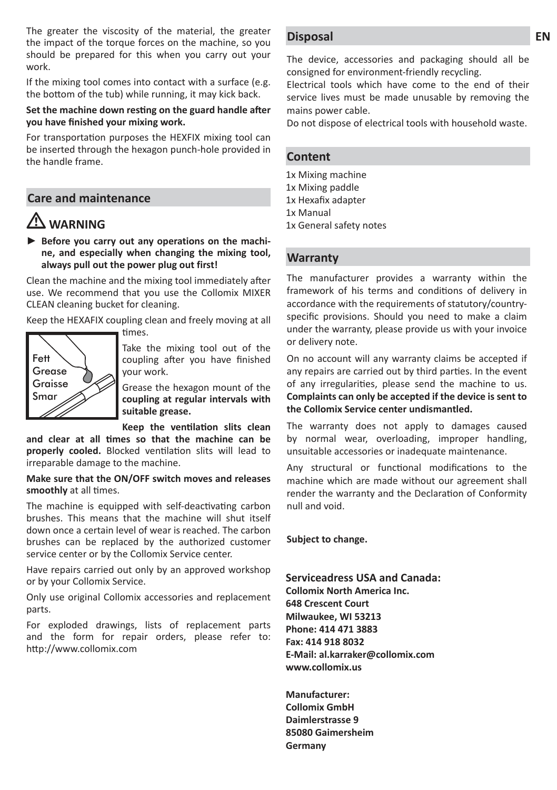The greater the viscosity of the material, the greater the impact of the torque forces on the machine, so you should be prepared for this when you carry out your work.

If the mixing tool comes into contact with a surface (e.g. the bottom of the tub) while running, it may kick back.

#### **Set the machine down resting on the guard handle after you have finished your mixing work.**

For transportation purposes the HEXFIX mixing tool can be inserted through the hexagon punch-hole provided in the handle frame.

### **Care and maintenance**

## L **WARNING**

**► Before you carry out any operations on the machine, and especially when changing the mixing tool, always pull out the power plug out first!**

Clean the machine and the mixing tool immediately after use. We recommend that you use the Collomix MIXER CLEAN cleaning bucket for cleaning.

Keep the HEXAFIX coupling clean and freely moving at all



Take the mixing tool out of the coupling after you have finished your work.

Grease the hexagon mount of the **coupling at regular intervals with suitable grease.**

**Keep the ventilation slits clean** 

**and clear at all times so that the machine can be properly cooled.** Blocked ventilation slits will lead to irreparable damage to the machine.

#### **Make sure that the ON/OFF switch moves and releases smoothly** at all times.

The machine is equipped with self-deactivating carbon brushes. This means that the machine will shut itself down once a certain level of wear is reached. The carbon brushes can be replaced by the authorized customer service center or by the Collomix Service center.

Have repairs carried out only by an approved workshop or by your Collomix Service.

Only use original Collomix accessories and replacement parts.

For exploded drawings, lists of replacement parts and the form for repair orders, please refer to: http://www.collomix.com

#### **Disposal**

The device, accessories and packaging should all be consigned for environment-friendly recycling.

Electrical tools which have come to the end of their service lives must be made unusable by removing the mains power cable.

Do not dispose of electrical tools with household waste.

#### **Content**

1x Mixing machine

1x Mixing paddle

1x Hexafix adapter

- 1x Manual
- 1x General safety notes

#### **Warranty**

The manufacturer provides a warranty within the framework of his terms and conditions of delivery in accordance with the requirements of statutory/countryspecific provisions. Should you need to make a claim under the warranty, please provide us with your invoice or delivery note.

On no account will any warranty claims be accepted if any repairs are carried out by third parties. In the event of any irregularities, please send the machine to us. **Complaints can only be accepted if the device is sent to the Collomix Service center undismantled.**

The warranty does not apply to damages caused by normal wear, overloading, improper handling, unsuitable accessories or inadequate maintenance.

Any structural or functional modifications to the machine which are made without our agreement shall render the warranty and the Declaration of Conformity null and void.

**Subject to change.**

**Serviceadress USA and Canada: Collomix North America Inc. 648 Crescent Court Milwaukee, WI 53213 Phone: 414 471 3883 Fax: 414 918 8032 E-Mail: al.karraker@collomix.com www.collomix.us**

**Manufacturer: Collomix GmbH Daimlerstrasse 9 85080 Gaimersheim Germany**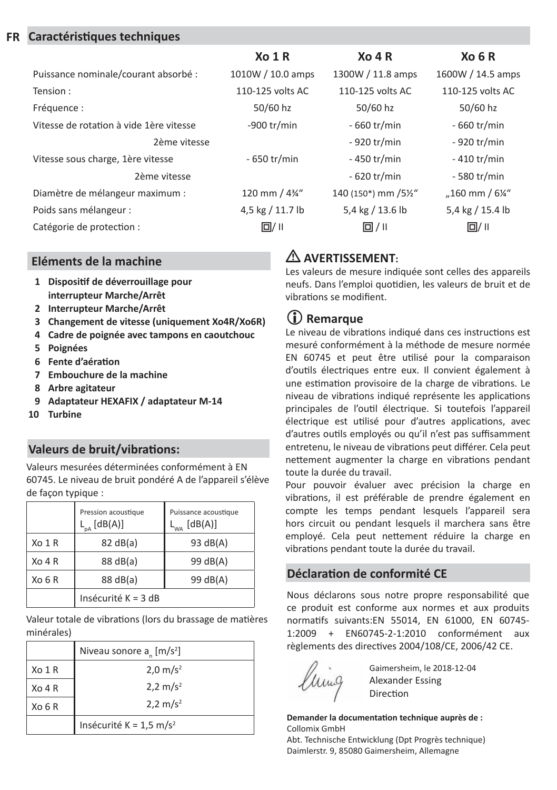#### **FR Caractéristiques techniques**

|                                         | X <sub>0</sub> 1 R | $X0$ 4 R           | X <sub>0</sub> 6 R         |
|-----------------------------------------|--------------------|--------------------|----------------------------|
| Puissance nominale/courant absorbé :    | 1010W / 10.0 amps  | 1300W / 11.8 amps  | 1600W / 14.5 amps          |
| Tension:                                | 110-125 volts AC   | 110-125 volts AC   | 110-125 volts AC           |
| Fréquence :                             | 50/60 hz           | 50/60 hz           | 50/60 hz                   |
| Vitesse de rotation à vide 1ère vitesse | -900 $tr/min$      | - 660 tr/min       | - 660 tr/min               |
| 2ème vitesse                            |                    | - 920 tr/min       | - 920 tr/min               |
| Vitesse sous charge, 1ère vitesse       | - 650 tr/min       | - 450 tr/min       | $-410$ tr/min              |
| 2ème vitesse                            |                    | - 620 tr/min       | - 580 tr/min               |
| Diamètre de mélangeur maximum :         | 120 mm / 43/4"     | 140 (150*) mm /5½" | "160 mm / $6\frac{1}{4}$ " |
| Poids sans mélangeur :                  | 4,5 kg / 11.7 lb   | 5,4 kg / 13.6 lb   | 5,4 kg / 15.4 lb           |
| Catégorie de protection :               | $\Box / \parallel$ | $\Box / \parallel$ | $\Box / \parallel$         |

#### **Eléments de la machine**

- **1 Dispositif de déverrouillage pour interrupteur Marche/Arrêt**
- **2 Interrupteur Marche/Arrêt**
- **3 Changement de vitesse (uniquement Xo4R/Xo6R)**
- **4 Cadre de poignée avec tampons en caoutchouc**
- **5 Poignées**
- **6 Fente d'aération**
- **7 Embouchure de la machine**
- **8 Arbre agitateur**
- **9 Adaptateur HEXAFIX / adaptateur M-14**
- **10 Turbine**

### **Valeurs de bruit/vibrations:**

Valeurs mesurées déterminées conformément à EN 60745. Le niveau de bruit pondéré A de l'appareil s'élève de façon typique :

|           | Pression acoustique<br>$L_{pA}$ [dB(A)] | Puissance acoustique<br>[dB(A)]<br>L <sub>wa</sub> |
|-----------|-----------------------------------------|----------------------------------------------------|
| Xo 1 R    | 82 dB(a)                                | 93 dB(A)                                           |
| Xo 4 R    | 88 dB(a)                                | 99 dB(A)                                           |
| $X_O$ 6 R | 88 dB(a)                                | 99 dB(A)                                           |
|           | Insécurité $K = 3 dB$                   |                                                    |

Valeur totale de vibrations (lors du brassage de matières minérales)

|        | Niveau sonore $a_{n}$ [m/s <sup>2</sup> ] |  |
|--------|-------------------------------------------|--|
| Xo 1 R | $2.0 \text{ m/s}^2$                       |  |
| Xo 4 R | 2,2 m/s <sup>2</sup>                      |  |
| Xo 6 R | 2,2 m/s <sup>2</sup>                      |  |
|        | Insécurité K = $1.5 \text{ m/s}^2$        |  |

## L **AVERTISSEMENT:**

Les valeurs de mesure indiquée sont celles des appareils neufs. Dans l'emploi quotidien, les valeurs de bruit et de vibrations se modifient.

## **Remarque**

Le niveau de vibrations indiqué dans ces instructions est mesuré conformément à la méthode de mesure normée EN 60745 et peut être utilisé pour la comparaison d'outils électriques entre eux. Il convient également à une estimation provisoire de la charge de vibrations. Le niveau de vibrations indiqué représente les applications principales de l'outil électrique. Si toutefois l'appareil électrique est utilisé pour d'autres applications, avec d'autres outils employés ou qu'il n'est pas suffisamment entretenu, le niveau de vibrations peut différer. Cela peut nettement augmenter la charge en vibrations pendant toute la durée du travail.

Pour pouvoir évaluer avec précision la charge en vibrations, il est préférable de prendre également en compte les temps pendant lesquels l'appareil sera hors circuit ou pendant lesquels il marchera sans être employé. Cela peut nettement réduire la charge en vibrations pendant toute la durée du travail.

#### **Déclaration de conformité CE**

Nous déclarons sous notre propre responsabilité que ce produit est conforme aux normes et aux produits normatifs suivants:EN 55014, EN 61000, EN 60745- 1:2009 + EN60745-2-1:2010 conformément aux règlements des directives 2004/108/CE, 2006/42 CE.

Gaimersheim, le 2018-12-04 Alexander Essing Direction

**Demander la documentation technique auprès de :** Collomix GmbH

Abt. Technische Entwicklung (Dpt Progrès technique) Daimlerstr. 9, 85080 Gaimersheim, Allemagne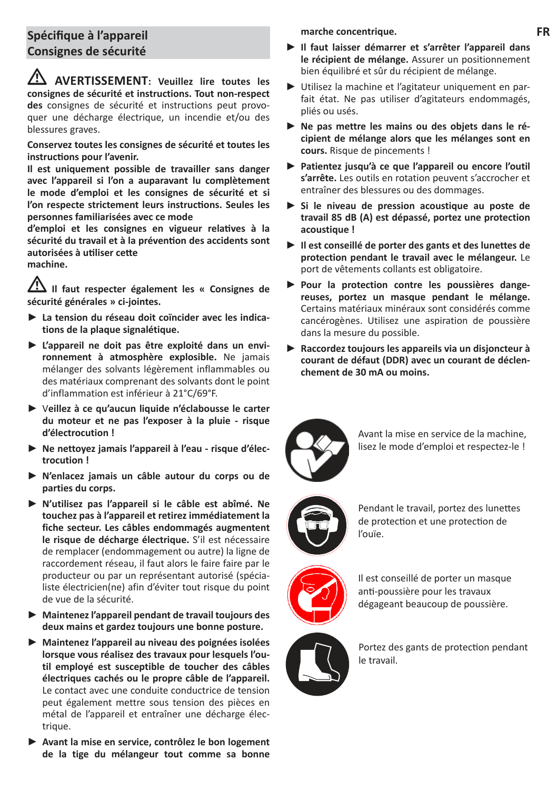## **Spécifique à l'appareil Consignes de sécurité**

L **AVERTISSEMENT: Veuillez lire toutes les consignes de sécurité et instructions. Tout non-respect des** consignes de sécurité et instructions peut provoquer une décharge électrique, un incendie et/ou des blessures graves.

**Conservez toutes les consignes de sécurité et toutes les instructions pour l'avenir.**

**Il est uniquement possible de travailler sans danger avec l'appareil si l'on a auparavant lu complètement le mode d'emploi et les consignes de sécurité et si l'on respecte strictement leurs instructions. Seules les personnes familiarisées avec ce mode** 

**d'emploi et les consignes en vigueur relatives à la sécurité du travail et à la prévention des accidents sont autorisées à utiliser cette machine.**

L **Il faut respecter également les « Consignes de sécurité générales » ci-jointes.**

- **► La tension du réseau doit coïncider avec les indications de la plaque signalétique.**
- **► L'appareil ne doit pas être exploité dans un environnement à atmosphère explosible.** Ne jamais mélanger des solvants légèrement inflammables ou des matériaux comprenant des solvants dont le point d'inflammation est inférieur à 21°C/69°F.
- **►** V**eillez à ce qu'aucun liquide n'éclabousse le carter du moteur et ne pas l'exposer à la pluie - risque d'électrocution !**
- **► Ne nettoyez jamais l'appareil à l'eau risque d'électrocution !**
- **► N'enlacez jamais un câble autour du corps ou de parties du corps.**
- **► N'utilisez pas l'appareil si le câble est abîmé. Ne touchez pas à l'appareil et retirez immédiatement la fiche secteur. Les câbles endommagés augmentent le risque de décharge électrique.** S'il est nécessaire de remplacer (endommagement ou autre) la ligne de raccordement réseau, il faut alors le faire faire par le producteur ou par un représentant autorisé (spécialiste électricien(ne) afin d'éviter tout risque du point de vue de la sécurité.
- **► Maintenez l'appareil pendant de travail toujours des deux mains et gardez toujours une bonne posture.**
- **► Maintenez l'appareil au niveau des poignées isolées lorsque vous réalisez des travaux pour lesquels l'outil employé est susceptible de toucher des câbles électriques cachés ou le propre câble de l'appareil.**  Le contact avec une conduite conductrice de tension peut également mettre sous tension des pièces en métal de l'appareil et entraîner une décharge électrique.
- **► Avant la mise en service, contrôlez le bon logement de la tige du mélangeur tout comme sa bonne**

**marche concentrique.**

- **► Il faut laisser démarrer et s'arrêter l'appareil dans le récipient de mélange.** Assurer un positionnement bien équilibré et sûr du récipient de mélange.
- **►** Utilisez la machine et l'agitateur uniquement en parfait état. Ne pas utiliser d'agitateurs endommagés, pliés ou usés.
- **► Ne pas mettre les mains ou des objets dans le récipient de mélange alors que les mélanges sont en cours.** Risque de pincements !
- **► Patientez jusqu'à ce que l'appareil ou encore l'outil s'arrête.** Les outils en rotation peuvent s'accrocher et entraîner des blessures ou des dommages.
- **► Si le niveau de pression acoustique au poste de travail 85 dB (A) est dépassé, portez une protection acoustique !**
- **► Il est conseillé de porter des gants et des lunettes de protection pendant le travail avec le mélangeur.** Le port de vêtements collants est obligatoire.
- **► Pour la protection contre les poussières dangereuses, portez un masque pendant le mélange.**  Certains matériaux minéraux sont considérés comme cancérogènes. Utilisez une aspiration de poussière dans la mesure du possible.
- **► Raccordez toujours les appareils via un disjoncteur à courant de défaut (DDR) avec un courant de déclenchement de 30 mA ou moins.**



Avant la mise en service de la machine, lisez le mode d'emploi et respectez-le !



Pendant le travail, portez des lunettes de protection et une protection de l'ouïe.



Il est conseillé de porter un masque anti-poussière pour les travaux dégageant beaucoup de poussière.



Portez des gants de protection pendant le travail.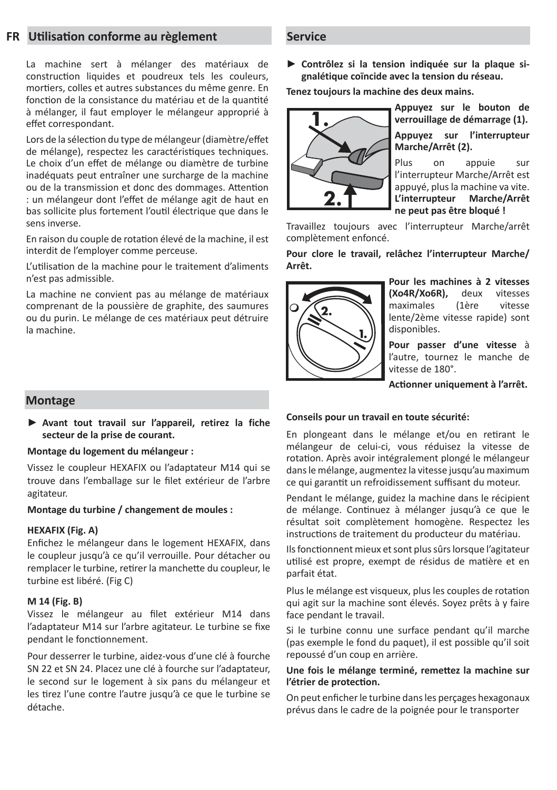#### **FR Utilisation conforme au règlement**

La machine sert à mélanger des matériaux de construction liquides et poudreux tels les couleurs, mortiers, colles et autres substances du même genre. En fonction de la consistance du matériau et de la quantité à mélanger, il faut employer le mélangeur approprié à effet correspondant.

Lors de la sélection du type de mélangeur (diamètre/effet de mélange), respectez les caractéristiques techniques. Le choix d'un effet de mélange ou diamètre de turbine inadéquats peut entraîner une surcharge de la machine ou de la transmission et donc des dommages. Attention : un mélangeur dont l'effet de mélange agit de haut en bas sollicite plus fortement l'outil électrique que dans le sens inverse.

En raison du couple de rotation élevé de la machine, il est interdit de l'employer comme perceuse.

L'utilisation de la machine pour le traitement d'aliments n'est pas admissible.

La machine ne convient pas au mélange de matériaux comprenant de la poussière de graphite, des saumures ou du purin. Le mélange de ces matériaux peut détruire la machine.

#### **Montage**

**► Avant tout travail sur l'appareil, retirez la fiche secteur de la prise de courant.**

#### **Montage du logement du mélangeur :**

Vissez le coupleur HEXAFIX ou l'adaptateur M14 qui se trouve dans l'emballage sur le filet extérieur de l'arbre agitateur.

#### **Montage du turbine / changement de moules :**

#### **HEXAFIX (Fig. A)**

Enfichez le mélangeur dans le logement HEXAFIX, dans le coupleur jusqu'à ce qu'il verrouille. Pour détacher ou remplacer le turbine, retirer la manchette du coupleur, le turbine est libéré. (Fig C)

#### **M 14 (Fig. B)**

Vissez le mélangeur au filet extérieur M14 dans l'adaptateur M14 sur l'arbre agitateur. Le turbine se fixe pendant le fonctionnement.

Pour desserrer le turbine, aidez-vous d'une clé à fourche SN 22 et SN 24. Placez une clé à fourche sur l'adaptateur, le second sur le logement à six pans du mélangeur et les tirez l'une contre l'autre jusqu'à ce que le turbine se détache.

#### **Service**

**► Contrôlez si la tension indiquée sur la plaque signalétique coïncide avec la tension du réseau.**

**Tenez toujours la machine des deux mains.** 



**Appuyez sur le bouton de verrouillage de démarrage (1). Appuyez sur l'interrupteur Marche/Arrêt (2).**

Plus on appuie sur l'interrupteur Marche/Arrêt est appuyé, plus la machine va vite. **L'interrupteur Marche/Arrêt ne peut pas être bloqué !**

Travaillez toujours avec l'interrupteur Marche/arrêt complètement enfoncé.

#### **Pour clore le travail, relâchez l'interrupteur Marche/ Arrêt.**



**Pour les machines à 2 vitesses (Xo4R/Xo6R),** deux vitesses maximales (1ère vitesse lente/2ème vitesse rapide) sont disponibles.

**Pour passer d'une vitesse** à l'autre, tournez le manche de vitesse de 180°.

**Actionner uniquement à l'arrêt.**

#### **Conseils pour un travail en toute sécurité:**

En plongeant dans le mélange et/ou en retirant le mélangeur de celui-ci, vous réduisez la vitesse de rotation. Après avoir intégralement plongé le mélangeur dans le mélange, augmentez la vitesse jusqu'au maximum ce qui garantit un refroidissement suffisant du moteur.

Pendant le mélange, guidez la machine dans le récipient de mélange. Continuez à mélanger jusqu'à ce que le résultat soit complètement homogène. Respectez les instructions de traitement du producteur du matériau.

Ils fonctionnent mieux et sont plus sûrs lorsque l'agitateur utilisé est propre, exempt de résidus de matière et en parfait état.

Plus le mélange est visqueux, plus les couples de rotation qui agit sur la machine sont élevés. Soyez prêts à y faire face pendant le travail.

Si le turbine connu une surface pendant qu'il marche (pas exemple le fond du paquet), il est possible qu'il soit repoussé d'un coup en arrière.

#### **Une fois le mélange terminé, remettez la machine sur l'étrier de protection.**

On peut enficher le turbine dans les perçages hexagonaux prévus dans le cadre de la poignée pour le transporter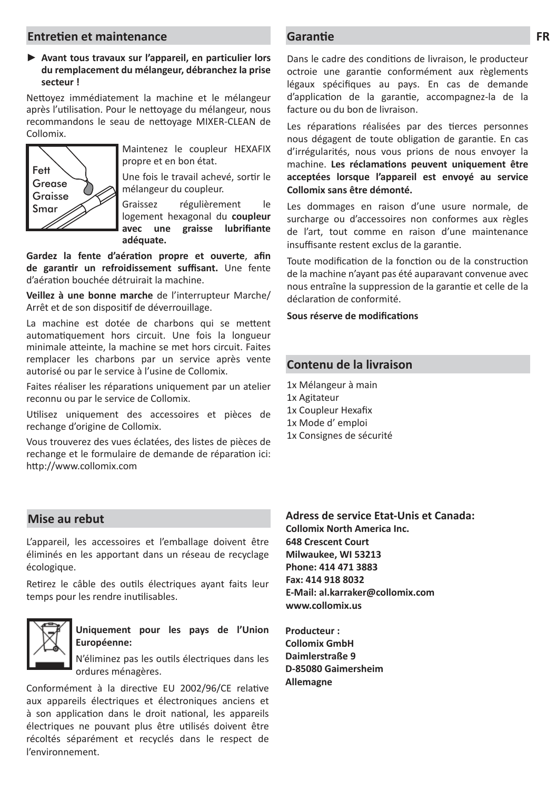#### **Entretien et maintenance Garantie**

#### **► Avant tous travaux sur l'appareil, en particulier lors du remplacement du mélangeur, débranchez la prise secteur !**

Nettoyez immédiatement la machine et le mélangeur après l'utilisation. Pour le nettoyage du mélangeur, nous recommandons le seau de nettoyage MIXER-CLEAN de Collomix.



Maintenez le coupleur HEXAFIX propre et en bon état.

Une fois le travail achevé, sortir le mélangeur du coupleur.

Graissez régulièrement le logement hexagonal du **coupleur**  avec une graisse lubrifiante **adéquate.** 

Gardez la fente d'aération propre et ouverte, afin de garantir un refroidissement suffisant. Une fente d'aération bouchée détruirait la machine.

**Veillez à une bonne marche** de l'interrupteur Marche/ Arrêt et de son dispositif de déverrouillage.

La machine est dotée de charbons qui se mettent automatiquement hors circuit. Une fois la longueur minimale atteinte, la machine se met hors circuit. Faites remplacer les charbons par un service après vente autorisé ou par le service à l'usine de Collomix.

Faites réaliser les réparations uniquement par un atelier reconnu ou par le service de Collomix.

Utilisez uniquement des accessoires et pièces de rechange d'origine de Collomix.

Vous trouverez des vues éclatées, des listes de pièces de rechange et le formulaire de demande de réparation ici: http://www.collomix.com

Dans le cadre des conditions de livraison, le producteur octroie une garantie conformément aux règlements légaux spécifiques au pays. En cas de demande d'application de la garantie, accompagnez-la de la facture ou du bon de livraison.

Les réparations réalisées par des tierces personnes nous dégagent de toute obligation de garantie. En cas d'irrégularités, nous vous prions de nous envoyer la machine. Les réclamations peuvent uniquement être **acceptées lorsque l'appareil est envoyé au service Collomix sans être démonté.**

Les dommages en raison d'une usure normale, de surcharge ou d'accessoires non conformes aux règles de l'art, tout comme en raison d'une maintenance insuffisante restent exclus de la garantie.

Toute modification de la fonction ou de la construction de la machine n'ayant pas été auparavant convenue avec nous entraîne la suppression de la garantie et celle de la déclaration de conformité.

Sous réserve de modifications

#### **Contenu de la livraison**

1x Mélangeur à main 1x Agitateur

- 1x Coupleur Hexafix
- 1x Mode d' emploi
- 1x Consignes de sécurité

#### **Mise au rebut**

L'appareil, les accessoires et l'emballage doivent être éliminés en les apportant dans un réseau de recyclage écologique.

Retirez le câble des outils électriques ayant faits leur temps pour les rendre inutilisables.



#### **Uniquement pour les pays de l'Union Européenne:**

N'éliminez pas les outils électriques dans les ordures ménagères.

Conformément à la directive EU 2002/96/CE relative aux appareils électriques et électroniques anciens et à son application dans le droit national, les appareils électriques ne pouvant plus être utilisés doivent être récoltés séparément et recyclés dans le respect de l'environnement.

**Adress de service Etat-Unis et Canada: Collomix North America Inc. 648 Crescent Court Milwaukee, WI 53213 Phone: 414 471 3883 Fax: 414 918 8032 E-Mail: al.karraker@collomix.com www.collomix.us**

**Producteur : Collomix GmbH Daimlerstraße 9 D-85080 Gaimersheim Allemagne**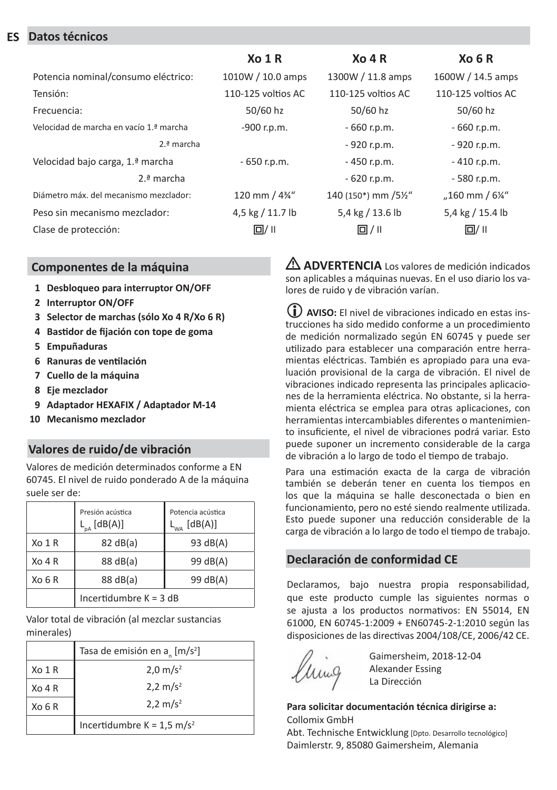#### **ES Datos técnicos**

|                                         | X <sub>0</sub> 1 R | $X0$ 4 R           | X <sub>0</sub> 6 R         |
|-----------------------------------------|--------------------|--------------------|----------------------------|
| Potencia nominal/consumo eléctrico:     | 1010W / 10.0 amps  | 1300W / 11.8 amps  | 1600W / 14.5 amps          |
| Tensión:                                | 110-125 voltios AC | 110-125 voltios AC | 110-125 voltios AC         |
| Frecuencia:                             | 50/60 hz           | 50/60 hz           | 50/60 hz                   |
| Velocidad de marcha en vacío 1.ª marcha | -900 r.p.m.        | $-660$ r.p.m.      | $-660$ r.p.m.              |
| $2.\n 3$ marcha                         |                    | $-920$ r.p.m.      | - 920 r.p.m.               |
| Velocidad bajo carga, 1.ª marcha        | $-650$ r.p.m.      | $-450$ r.p.m.      | $-410$ r.p.m.              |
| $2.\n 3$ marcha                         |                    | $-620$ r.p.m.      | $-580$ r.p.m.              |
| Diámetro máx, del mecanismo mezclador:  | 120 mm / 4%"       | 140 (150*) mm /5½" | "160 mm / $6\frac{1}{4}$ " |
| Peso sin mecanismo mezclador:           | 4,5 kg / 11.7 lb   | 5,4 kg / 13.6 lb   | 5,4 kg / 15.4 lb           |
| Clase de protección:                    | $\Box / \parallel$ | $\Box / \parallel$ | $\Box / \parallel$         |

#### **Componentes de la máquina**

- **1 Desbloqueo para interruptor ON/OFF**
- **2 Interruptor ON/OFF**
- **3 Selector de marchas (sólo Xo 4 R/Xo 6 R)**
- **4 Bastidor de fijación con tope de goma**
- **5 Empuñaduras**
- **6 Ranuras de ventilación**
- **7 Cuello de la máquina**
- **8 Eje mezclador**
- **9 Adaptador HEXAFIX / Adaptador M-14**
- **10 Mecanismo mezclador**

#### **Valores de ruido/de vibración**

Valores de medición determinados conforme a EN 60745. El nivel de ruido ponderado A de la máquina suele ser de:

|           | Presión acústica<br>$\frac{1}{2}$ [dB(A)] | Potencia acústica<br>[dB(A)]<br>$L_{WA}$ |
|-----------|-------------------------------------------|------------------------------------------|
| Xo 1 R    | 82 dB(a)                                  | 93 dB(A)                                 |
| Xo 4 R    | 88 dB(a)                                  | 99 dB(A)                                 |
| $X_O$ 6 R | 88 dB(a)                                  | 99 dB(A)                                 |
|           | Incertidumbre $K = 3$ dB                  |                                          |

Valor total de vibración (al mezclar sustancias minerales)

|                    | Tasa de emisión en a [m/s <sup>2</sup> ] |  |
|--------------------|------------------------------------------|--|
| Xo 1 R             | $2.0 \text{ m/s}^2$                      |  |
| $XO$ 4 R           | $2,2 \text{ m/s}^2$                      |  |
| X <sub>0</sub> 6 R | $2,2 \text{ m/s}^2$                      |  |
|                    | Incertidumbre $K = 1.5$ m/s <sup>2</sup> |  |

L **ADVERTENCIA** Los valores de medición indicados son aplicables a máquinas nuevas. En el uso diario los valores de ruido y de vibración varían.

 **AVISO:** El nivel de vibraciones indicado en estas instrucciones ha sido medido conforme a un procedimiento de medición normalizado según EN 60745 y puede ser utilizado para establecer una comparación entre herramientas eléctricas. También es apropiado para una evaluación provisional de la carga de vibración. El nivel de vibraciones indicado representa las principales aplicaciones de la herramienta eléctrica. No obstante, si la herramienta eléctrica se emplea para otras aplicaciones, con herramientas intercambiables diferentes o mantenimiento insuficiente, el nivel de vibraciones podrá variar. Esto puede suponer un incremento considerable de la carga de vibración a lo largo de todo el tiempo de trabajo.

Para una estimación exacta de la carga de vibración también se deberán tener en cuenta los tiempos en los que la máquina se halle desconectada o bien en funcionamiento, pero no esté siendo realmente utilizada. Esto puede suponer una reducción considerable de la carga de vibración a lo largo de todo el tiempo de trabajo.

#### **Declaración de conformidad CE**

Declaramos, bajo nuestra propia responsabilidad, que este producto cumple las siguientes normas o se ajusta a los productos normativos: EN 55014, EN 61000, EN 60745-1:2009 + EN60745-2-1:2010 según las disposiciones de las directivas 2004/108/CE, 2006/42 CE.



Gaimersheim, 2018-12-04 Alexander Essing La Dirección

**Para solicitar documentación técnica dirigirse a:** Collomix GmbH

Abt. Technische Entwicklung [Dpto. Desarrollo tecnológico] Daimlerstr. 9, 85080 Gaimersheim, Alemania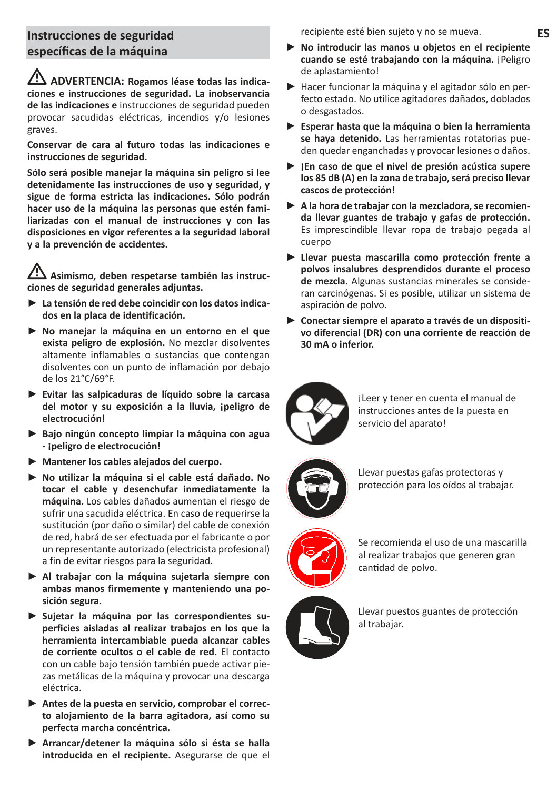## **Instrucciones de seguridad específicas de la máquina**

L **ADVERTENCIA: Rogamos léase todas las indicaciones e instrucciones de seguridad. La inobservancia de las indicaciones e** instrucciones de seguridad pueden provocar sacudidas eléctricas, incendios y/o lesiones graves.

**Conservar de cara al futuro todas las indicaciones e instrucciones de seguridad.**

**Sólo será posible manejar la máquina sin peligro si lee detenidamente las instrucciones de uso y seguridad, y sigue de forma estricta las indicaciones. Sólo podrán hacer uso de la máquina las personas que estén familiarizadas con el manual de instrucciones y con las disposiciones en vigor referentes a la seguridad laboral y a la prevención de accidentes.**

Asimismo, deben respetarse también las instruc**ciones de seguridad generales adjuntas.**

- **► La tensión de red debe coincidir con los datos indicados en la placa de identificación.**
- **► No manejar la máquina en un entorno en el que exista peligro de explosión.** No mezclar disolventes altamente inflamables o sustancias que contengan disolventes con un punto de inflamación por debajo de los 21°C/69°F.
- **► Evitar las salpicaduras de líquido sobre la carcasa del motor y su exposición a la lluvia, ¡peligro de electrocución!**
- **► Bajo ningún concepto limpiar la máquina con agua - ¡peligro de electrocución!**
- **► Mantener los cables alejados del cuerpo.**
- **► No utilizar la máquina si el cable está dañado. No tocar el cable y desenchufar inmediatamente la máquina.** Los cables dañados aumentan el riesgo de sufrir una sacudida eléctrica. En caso de requerirse la sustitución (por daño o similar) del cable de conexión de red, habrá de ser efectuada por el fabricante o por un representante autorizado (electricista profesional) a fin de evitar riesgos para la seguridad.
- **► Al trabajar con la máquina sujetarla siempre con ambas manos firmemente y manteniendo una posición segura.**
- **► Sujetar la máquina por las correspondientes superficies aisladas al realizar trabajos en los que la herramienta intercambiable pueda alcanzar cables de corriente ocultos o el cable de red.** El contacto con un cable bajo tensión también puede activar piezas metálicas de la máquina y provocar una descarga eléctrica.
- **► Antes de la puesta en servicio, comprobar el correcto alojamiento de la barra agitadora, así como su perfecta marcha concéntrica.**
- **► Arrancar/detener la máquina sólo si ésta se halla introducida en el recipiente.** Asegurarse de que el

recipiente esté bien sujeto y no se mueva.

- **► No introducir las manos u objetos en el recipiente cuando se esté trabajando con la máquina.** ¡Peligro de aplastamiento!
- **►** Hacer funcionar la máquina y el agitador sólo en perfecto estado. No utilice agitadores dañados, doblados o desgastados.
- **► Esperar hasta que la máquina o bien la herramienta se haya detenido.** Las herramientas rotatorias pueden quedar enganchadas y provocar lesiones o daños.
- **► ¡En caso de que el nivel de presión acústica supere los 85 dB (A) en la zona de trabajo, será preciso llevar cascos de protección!**
- **► A la hora de trabajar con la mezcladora, se recomienda llevar guantes de trabajo y gafas de protección.** Es imprescindible llevar ropa de trabajo pegada al cuerpo
- **► Llevar puesta mascarilla como protección frente a polvos insalubres desprendidos durante el proceso de mezcla.** Algunas sustancias minerales se consideran carcinógenas. Si es posible, utilizar un sistema de aspiración de polvo.
- **► Conectar siempre el aparato a través de un dispositivo diferencial (DR) con una corriente de reacción de 30 mA o inferior.**



¡Leer y tener en cuenta el manual de instrucciones antes de la puesta en servicio del aparato!



Llevar puestas gafas protectoras y protección para los oídos al trabajar.



Se recomienda el uso de una mascarilla al realizar trabajos que generen gran cantidad de polvo.



Llevar puestos guantes de protección al trabajar.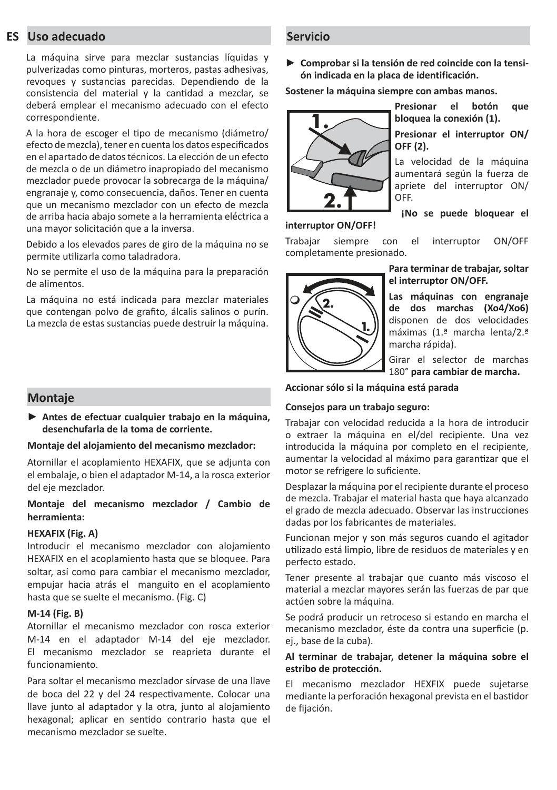#### **ES Uso adecuado**

La máquina sirve para mezclar sustancias líquidas y pulverizadas como pinturas, morteros, pastas adhesivas, revoques y sustancias parecidas. Dependiendo de la consistencia del material y la cantidad a mezclar, se deberá emplear el mecanismo adecuado con el efecto correspondiente.

A la hora de escoger el tipo de mecanismo (diámetro/ efecto de mezcla), tener en cuenta los datos especificados en el apartado de datos técnicos. La elección de un efecto de mezcla o de un diámetro inapropiado del mecanismo mezclador puede provocar la sobrecarga de la máquina/ engranaje y, como consecuencia, daños. Tener en cuenta que un mecanismo mezclador con un efecto de mezcla de arriba hacia abajo somete a la herramienta eléctrica a una mayor solicitación que a la inversa.

Debido a los elevados pares de giro de la máquina no se permite utilizarla como taladradora.

No se permite el uso de la máquina para la preparación de alimentos.

La máquina no está indicada para mezclar materiales que contengan polvo de grafito, álcalis salinos o purín. La mezcla de estas sustancias puede destruir la máquina.

#### **Montaje**

**► Antes de efectuar cualquier trabajo en la máquina, desenchufarla de la toma de corriente.**

#### **Montaje del alojamiento del mecanismo mezclador:**

Atornillar el acoplamiento HEXAFIX, que se adjunta con el embalaje, o bien el adaptador M-14, a la rosca exterior del eje mezclador.

#### **Montaje del mecanismo mezclador / Cambio de herramienta:**

#### **HEXAFIX (Fig. A)**

Introducir el mecanismo mezclador con alojamiento HEXAFIX en el acoplamiento hasta que se bloquee. Para soltar, así como para cambiar el mecanismo mezclador, empujar hacia atrás el manguito en el acoplamiento hasta que se suelte el mecanismo. (Fig. C)

#### **M-14 (Fig. B)**

Atornillar el mecanismo mezclador con rosca exterior M-14 en el adaptador M-14 del eje mezclador. El mecanismo mezclador se reaprieta durante el funcionamiento.

Para soltar el mecanismo mezclador sírvase de una llave de boca del 22 y del 24 respectivamente. Colocar una llave junto al adaptador y la otra, junto al alojamiento hexagonal; aplicar en sentido contrario hasta que el mecanismo mezclador se suelte.

#### **Servicio**

**► Comprobar si la tensión de red coincide con la tensión indicada en la placa de identificación.**

**Sostener la máquina siempre con ambas manos.**



**Presionar el botón que bloquea la conexión (1).**

**Presionar el interruptor ON/ OFF (2).**

La velocidad de la máquina aumentará según la fuerza de apriete del interruptor ON/ OFF.

**interruptor ON/OFF!**

**¡No se puede bloquear el** 

Trabajar siempre con el interruptor ON/OFF completamente presionado.



**Para terminar de trabajar, soltar el interruptor ON/OFF.**

**Las máquinas con engranaje de dos marchas (Xo4/Xo6)**  disponen de dos velocidades máximas (1.ª marcha lenta/2.ª marcha rápida).

Girar el selector de marchas 180° **para cambiar de marcha.**

#### **Accionar sólo si la máquina está parada**

#### **Consejos para un trabajo seguro:**

Trabajar con velocidad reducida a la hora de introducir o extraer la máquina en el/del recipiente. Una vez introducida la máquina por completo en el recipiente, aumentar la velocidad al máximo para garantizar que el motor se refrigere lo suficiente.

Desplazar la máquina por el recipiente durante el proceso de mezcla. Trabajar el material hasta que haya alcanzado el grado de mezcla adecuado. Observar las instrucciones dadas por los fabricantes de materiales.

Funcionan mejor y son más seguros cuando el agitador utilizado está limpio, libre de residuos de materiales y en perfecto estado.

Tener presente al trabajar que cuanto más viscoso el material a mezclar mayores serán las fuerzas de par que actúen sobre la máquina.

Se podrá producir un retroceso si estando en marcha el mecanismo mezclador, éste da contra una superficie (p. ej., base de la cuba).

#### **Al terminar de trabajar, detener la máquina sobre el estribo de protección.**

El mecanismo mezclador HEXFIX puede sujetarse mediante la perforación hexagonal prevista en el bastidor de fijación.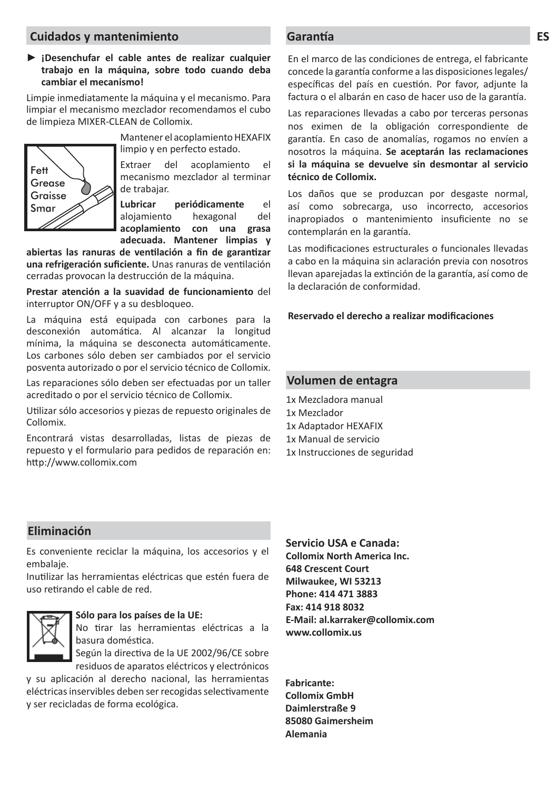#### **Cuidados y mantenimiento Garantía**

#### **► ¡Desenchufar el cable antes de realizar cualquier trabajo en la máquina, sobre todo cuando deba cambiar el mecanismo!**

Limpie inmediatamente la máquina y el mecanismo. Para limpiar el mecanismo mezclador recomendamos el cubo de limpieza MIXER-CLEAN de Collomix.



Mantener el acoplamiento HEXAFIX limpio y en perfecto estado.

Extraer del acoplamiento el mecanismo mezclador al terminar de trabajar.

**Lubricar periódicamente** el alojamiento hexagonal del **acoplamiento con una grasa adecuada. Mantener limpias y** 

abiertas las ranuras de ventilación a fin de garantizar una refrigeración suficiente. Unas ranuras de ventilación cerradas provocan la destrucción de la máquina.

**Prestar atención a la suavidad de funcionamiento** del interruptor ON/OFF y a su desbloqueo.

La máquina está equipada con carbones para la desconexión automática. Al alcanzar la longitud mínima, la máquina se desconecta automáticamente. Los carbones sólo deben ser cambiados por el servicio posventa autorizado o por el servicio técnico de Collomix.

Las reparaciones sólo deben ser efectuadas por un taller acreditado o por el servicio técnico de Collomix.

Utilizar sólo accesorios y piezas de repuesto originales de Collomix.

Encontrará vistas desarrolladas, listas de piezas de repuesto y el formulario para pedidos de reparación en: http://www.collomix.com

En el marco de las condiciones de entrega, el fabricante concede la garantía conforme a las disposiciones legales/ específicas del país en cuestión. Por favor, adjunte la factura o el albarán en caso de hacer uso de la garantía.

Las reparaciones llevadas a cabo por terceras personas nos eximen de la obligación correspondiente de garantía. En caso de anomalías, rogamos no envíen a nosotros la máquina. **Se aceptarán las reclamaciones si la máquina se devuelve sin desmontar al servicio técnico de Collomix.**

Los daños que se produzcan por desgaste normal, así como sobrecarga, uso incorrecto, accesorios inapropiados o mantenimiento insuficiente no se contemplarán en la garantía.

Las modificaciones estructurales o funcionales llevadas a cabo en la máquina sin aclaración previa con nosotros llevan aparejadas la extinción de la garantía, así como de la declaración de conformidad.

#### **Reservado el derecho a realizar modifi caciones**

#### **Volumen de entagra**

1x Mezcladora manual 1x Mezclador 1x Adaptador HEXAFIX 1x Manual de servicio 1x Instrucciones de seguridad

#### **Eliminación**

Es conveniente reciclar la máquina, los accesorios y el embalaje.

Inutilizar las herramientas eléctricas que estén fuera de uso retirando el cable de red.



#### **Sólo para los países de la UE:**

No tirar las herramientas eléctricas a la basura doméstica.

Según la directiva de la UE 2002/96/CE sobre residuos de aparatos eléctricos y electrónicos

y su aplicación al derecho nacional, las herramientas eléctricas inservibles deben ser recogidas selectivamente y ser recicladas de forma ecológica.

## **Servicio USA e Canada:**

**Collomix North America Inc. 648 Crescent Court Milwaukee, WI 53213 Phone: 414 471 3883 Fax: 414 918 8032 E-Mail: al.karraker@collomix.com www.collomix.us**

**Fabricante: Collomix GmbH Daimlerstraße 9 85080 Gaimersheim Alemania**